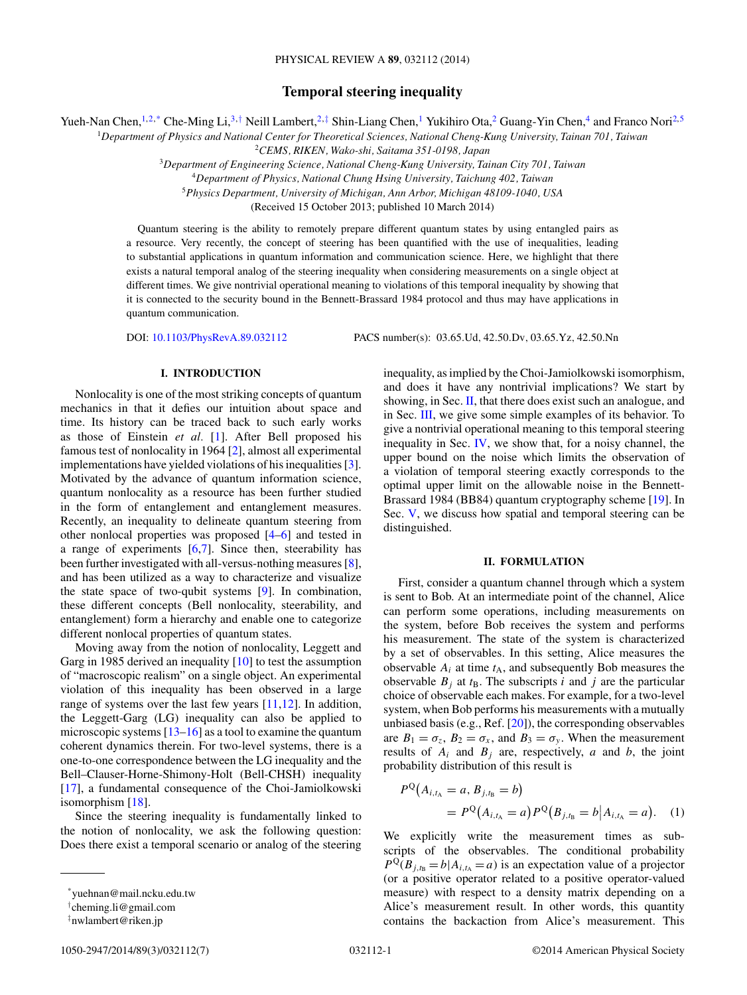# **Temporal steering inequality**

<span id="page-0-0"></span>Yueh-Nan Chen,<sup>1,2,\*</sup> Che-Ming Li,<sup>3,†</sup> Neill Lambert,<sup>2,‡</sup> Shin-Liang Chen,<sup>1</sup> Yukihiro Ota,<sup>2</sup> Guang-Yin Chen,<sup>4</sup> and Franco Nori<sup>2,5</sup>

<sup>1</sup>*Department of Physics and National Center for Theoretical Sciences, National Cheng-Kung University, Tainan 701, Taiwan*

<sup>2</sup>*CEMS, RIKEN, Wako-shi, Saitama 351-0198, Japan*

<sup>3</sup>*Department of Engineering Science, National Cheng-Kung University, Tainan City 701, Taiwan*

<sup>4</sup>*Department of Physics, National Chung Hsing University, Taichung 402, Taiwan*

<sup>5</sup>*Physics Department, University of Michigan, Ann Arbor, Michigan 48109-1040, USA*

(Received 15 October 2013; published 10 March 2014)

Quantum steering is the ability to remotely prepare different quantum states by using entangled pairs as a resource. Very recently, the concept of steering has been quantified with the use of inequalities, leading to substantial applications in quantum information and communication science. Here, we highlight that there exists a natural temporal analog of the steering inequality when considering measurements on a single object at different times. We give nontrivial operational meaning to violations of this temporal inequality by showing that it is connected to the security bound in the Bennett-Brassard 1984 protocol and thus may have applications in quantum communication.

DOI: [10.1103/PhysRevA.89.032112](http://dx.doi.org/10.1103/PhysRevA.89.032112) PACS number(s): 03*.*65*.*Ud*,* 42*.*50*.*Dv*,* 03*.*65*.*Yz*,* 42*.*50*.*Nn

# **I. INTRODUCTION**

Nonlocality is one of the most striking concepts of quantum mechanics in that it defies our intuition about space and time. Its history can be traced back to such early works as those of Einstein *et al.* [\[1\]](#page-5-0). After Bell proposed his famous test of nonlocality in 1964 [\[2\]](#page-5-0), almost all experimental implementations have yielded violations of his inequalities [\[3\]](#page-5-0). Motivated by the advance of quantum information science, quantum nonlocality as a resource has been further studied in the form of entanglement and entanglement measures. Recently, an inequality to delineate quantum steering from other nonlocal properties was proposed [\[4–6\]](#page-6-0) and tested in a range of experiments  $[6,7]$ . Since then, steerability has been further investigated with all-versus-nothing measures [\[8\]](#page-6-0), and has been utilized as a way to characterize and visualize the state space of two-qubit systems [\[9\]](#page-6-0). In combination, these different concepts (Bell nonlocality, steerability, and entanglement) form a hierarchy and enable one to categorize different nonlocal properties of quantum states.

Moving away from the notion of nonlocality, Leggett and Garg in 1985 derived an inequality [\[10\]](#page-6-0) to test the assumption of "macroscopic realism" on a single object. An experimental violation of this inequality has been observed in a large range of systems over the last few years [\[11,12\]](#page-6-0). In addition, the Leggett-Garg (LG) inequality can also be applied to microscopic systems [\[13–16\]](#page-6-0) as a tool to examine the quantum coherent dynamics therein. For two-level systems, there is a one-to-one correspondence between the LG inequality and the Bell–Clauser-Horne-Shimony-Holt (Bell-CHSH) inequality [\[17\]](#page-6-0), a fundamental consequence of the Choi-Jamiolkowski isomorphism [\[18\]](#page-6-0).

Since the steering inequality is fundamentally linked to the notion of nonlocality, we ask the following question: Does there exist a temporal scenario or analog of the steering

inequality, as implied by the Choi-Jamiolkowski isomorphism, and does it have any nontrivial implications? We start by showing, in Sec. II, that there does exist such an analogue, and in Sec. [III,](#page-1-0) we give some simple examples of its behavior. To give a nontrivial operational meaning to this temporal steering inequality in Sec. [IV,](#page-2-0) we show that, for a noisy channel, the upper bound on the noise which limits the observation of a violation of temporal steering exactly corresponds to the optimal upper limit on the allowable noise in the Bennett-Brassard 1984 (BB84) quantum cryptography scheme [\[19\]](#page-6-0). In Sec. [V,](#page-3-0) we discuss how spatial and temporal steering can be distinguished.

### **II. FORMULATION**

First, consider a quantum channel through which a system is sent to Bob. At an intermediate point of the channel, Alice can perform some operations, including measurements on the system, before Bob receives the system and performs his measurement. The state of the system is characterized by a set of observables. In this setting, Alice measures the observable  $A_i$  at time  $t_A$ , and subsequently Bob measures the observable  $B_j$  at  $t_B$ . The subscripts *i* and *j* are the particular choice of observable each makes. For example, for a two-level system, when Bob performs his measurements with a mutually unbiased basis (e.g., Ref. [\[20\]](#page-6-0)), the corresponding observables are  $B_1 = \sigma_z$ ,  $B_2 = \sigma_x$ , and  $B_3 = \sigma_y$ . When the measurement results of  $A_i$  and  $B_j$  are, respectively, *a* and *b*, the joint probability distribution of this result is

$$
P^{Q}(A_{i,t_{A}} = a, B_{j,t_{B}} = b)
$$
  
=  $P^{Q}(A_{i,t_{A}} = a) P^{Q}(B_{j,t_{B}} = b | A_{i,t_{A}} = a).$  (1)

We explicitly write the measurement times as subscripts of the observables. The conditional probability  $P^{\mathbb{Q}}(B_{i,t_{\mathbb{R}}} = b | A_{i,t_{\mathbb{A}}} = a)$  is an expectation value of a projector (or a positive operator related to a positive operator-valued measure) with respect to a density matrix depending on a Alice's measurement result. In other words, this quantity contains the backaction from Alice's measurement. This

<sup>\*</sup>yuehnan@mail.ncku.edu.tw

<sup>†</sup> cheming.li@gmail.com

<sup>‡</sup> nwlambert@riken.jp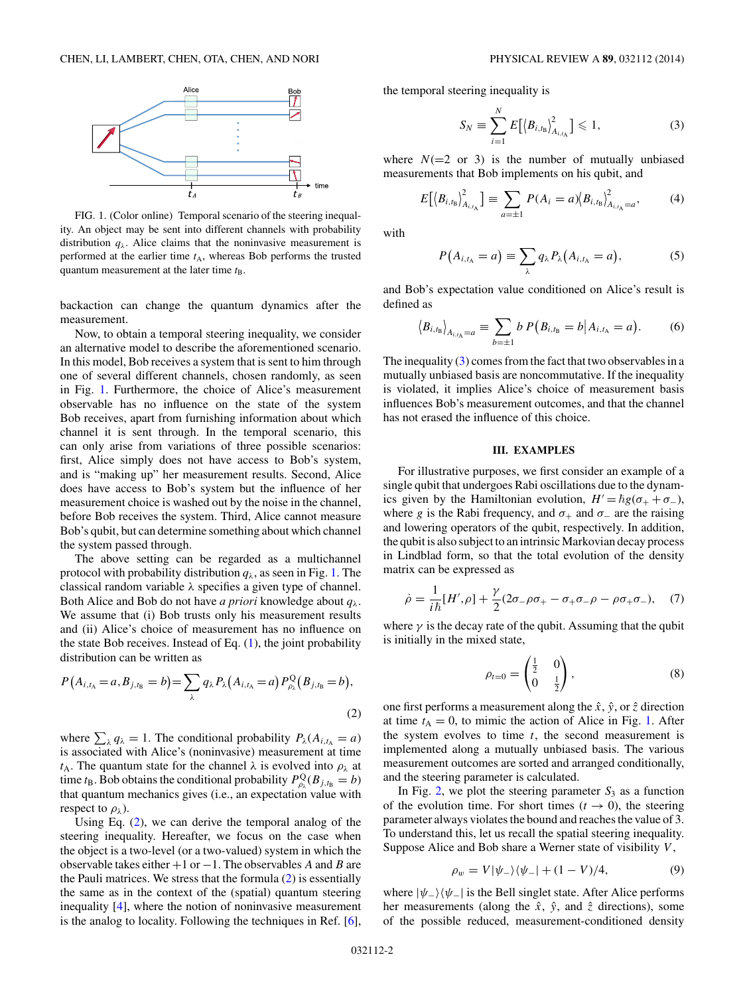<span id="page-1-0"></span>

FIG. 1. (Color online) Temporal scenario of the steering inequality. An object may be sent into different channels with probability distribution  $q_{\lambda}$ . Alice claims that the noninvasive measurement is performed at the earlier time  $t_A$ , whereas Bob performs the trusted quantum measurement at the later time  $t_{\text{B}}$ .

backaction can change the quantum dynamics after the measurement.

Now, to obtain a temporal steering inequality, we consider an alternative model to describe the aforementioned scenario. In this model, Bob receives a system that is sent to him through one of several different channels, chosen randomly, as seen in Fig. 1. Furthermore, the choice of Alice's measurement observable has no influence on the state of the system Bob receives, apart from furnishing information about which channel it is sent through. In the temporal scenario, this can only arise from variations of three possible scenarios: first, Alice simply does not have access to Bob's system, and is "making up" her measurement results. Second, Alice does have access to Bob's system but the influence of her measurement choice is washed out by the noise in the channel, before Bob receives the system. Third, Alice cannot measure Bob's qubit, but can determine something about which channel the system passed through.

The above setting can be regarded as a multichannel protocol with probability distribution  $q_{\lambda}$ , as seen in Fig. 1. The classical random variable *λ* specifies a given type of channel. Both Alice and Bob do not have *a priori* knowledge about *qλ*. We assume that (i) Bob trusts only his measurement results and (ii) Alice's choice of measurement has no influence on the state Bob receives. Instead of Eq.  $(1)$ , the joint probability distribution can be written as

$$
P(A_{i,t_{A}} = a, B_{j,t_{B}} = b) = \sum_{\lambda} q_{\lambda} P_{\lambda} (A_{i,t_{A}} = a) P_{\rho_{\lambda}}^{Q} (B_{j,t_{B}} = b),
$$
\n(2)

where  $\sum_{\lambda} q_{\lambda} = 1$ . The conditional probability  $P_{\lambda}(A_{i,t_{\lambda}} = a)$ is associated with Alice's (noninvasive) measurement at time *t*A. The quantum state for the channel *λ* is evolved into *ρλ* at time *t*<sub>B</sub>. Bob obtains the conditional probability  $P_{\rho_\lambda}^{\mathbf{Q}}(B_{j,t_\mathbf{B}} = b)$ that quantum mechanics gives (i.e., an expectation value with respect to  $\rho_{\lambda}$ ).

Using Eq. (2), we can derive the temporal analog of the steering inequality. Hereafter, we focus on the case when the object is a two-level (or a two-valued) system in which the observable takes either +1 or −1. The observables *A* and *B* are the Pauli matrices. We stress that the formula (2) is essentially the same as in the context of the (spatial) quantum steering inequality [\[4\]](#page-6-0), where the notion of noninvasive measurement is the analog to locality. Following the techniques in Ref. [\[6\]](#page-6-0),

the temporal steering inequality is

$$
S_N \equiv \sum_{i=1}^N E\big[\big\langle B_{i,t_{\rm B}}\big\rangle_{A_{i,t_{\rm A}}}^2\big] \leq 1,\tag{3}
$$

where  $N(=2 \text{ or } 3)$  is the number of mutually unbiased measurements that Bob implements on his qubit, and

$$
E[(B_{i,t_{\rm B}})_{A_{i,t_{\rm A}}}^2] \equiv \sum_{a=\pm 1} P(A_i = a) (B_{i,t_{\rm B}})_{A_{i,t_{\rm A}}=a}^2, \tag{4}
$$

with

$$
P(A_{i,t_{A}} = a) \equiv \sum_{\lambda} q_{\lambda} P_{\lambda}(A_{i,t_{A}} = a), \qquad (5)
$$

and Bob's expectation value conditioned on Alice's result is defined as

$$
\langle B_{i,t_{\rm B}} \rangle_{A_{i,t_{\rm A}}=a} \equiv \sum_{b=\pm 1} b \, P\big(B_{i,t_{\rm B}}=b \big| A_{i,t_{\rm A}}=a \big). \tag{6}
$$

The inequality  $(3)$  comes from the fact that two observables in a mutually unbiased basis are noncommutative. If the inequality is violated, it implies Alice's choice of measurement basis influences Bob's measurement outcomes, and that the channel has not erased the influence of this choice.

### **III. EXAMPLES**

For illustrative purposes, we first consider an example of a single qubit that undergoes Rabi oscillations due to the dynamics given by the Hamiltonian evolution,  $H' = \hbar g(\sigma_+ + \sigma_-)$ , where *g* is the Rabi frequency, and  $\sigma_+$  and  $\sigma_-$  are the raising and lowering operators of the qubit, respectively. In addition, the qubit is also subject to an intrinsic Markovian decay process in Lindblad form, so that the total evolution of the density matrix can be expressed as

$$
\dot{\rho} = \frac{1}{i\hbar} [H', \rho] + \frac{\gamma}{2} (2\sigma_- \rho \sigma_+ - \sigma_+ \sigma_- \rho - \rho \sigma_+ \sigma_-), \quad (7)
$$

where  $\gamma$  is the decay rate of the qubit. Assuming that the qubit is initially in the mixed state,

$$
\rho_{t=0} = \begin{pmatrix} \frac{1}{2} & 0\\ 0 & \frac{1}{2} \end{pmatrix}, \tag{8}
$$

one first performs a measurement along the  $\hat{x}$ ,  $\hat{y}$ , or  $\hat{z}$  direction at time  $t_A = 0$ , to mimic the action of Alice in Fig. 1. After the system evolves to time *t*, the second measurement is implemented along a mutually unbiased basis. The various measurement outcomes are sorted and arranged conditionally, and the steering parameter is calculated.

In Fig. [2,](#page-2-0) we plot the steering parameter  $S_3$  as a function of the evolution time. For short times  $(t \to 0)$ , the steering parameter always violates the bound and reaches the value of 3. To understand this, let us recall the spatial steering inequality. Suppose Alice and Bob share a Werner state of visibility *V* ,

$$
\rho_w = V |\psi_-\rangle \langle \psi_-| + (1 - V)/4, \tag{9}
$$

where  $|\psi_-\rangle\langle\psi_-\rangle$  is the Bell singlet state. After Alice performs her measurements (along the  $\hat{x}$ ,  $\hat{y}$ , and  $\hat{z}$  directions), some of the possible reduced, measurement-conditioned density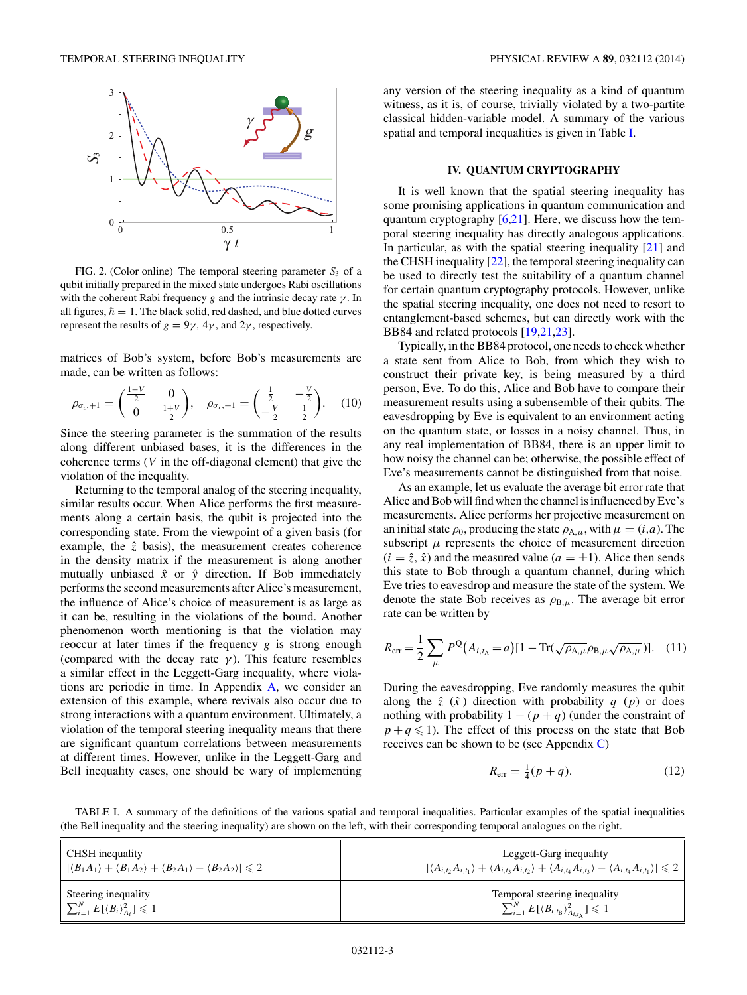<span id="page-2-0"></span>

FIG. 2. (Color online) The temporal steering parameter  $S_3$  of a qubit initially prepared in the mixed state undergoes Rabi oscillations with the coherent Rabi frequency *g* and the intrinsic decay rate *γ* . In all figures,  $\hbar = 1$ . The black solid, red dashed, and blue dotted curves represent the results of  $g = 9\gamma$ ,  $4\gamma$ , and  $2\gamma$ , respectively.

matrices of Bob's system, before Bob's measurements are made, can be written as follows:

$$
\rho_{\sigma_z,+1} = \begin{pmatrix} \frac{1-V}{2} & 0\\ 0 & \frac{1+V}{2} \end{pmatrix}, \quad \rho_{\sigma_x,+1} = \begin{pmatrix} \frac{1}{2} & -\frac{V}{2}\\ -\frac{V}{2} & \frac{1}{2} \end{pmatrix}.
$$
 (10)

Since the steering parameter is the summation of the results along different unbiased bases, it is the differences in the coherence terms (*V* in the off-diagonal element) that give the violation of the inequality.

Returning to the temporal analog of the steering inequality, similar results occur. When Alice performs the first measurements along a certain basis, the qubit is projected into the corresponding state. From the viewpoint of a given basis (for example, the  $\hat{z}$  basis), the measurement creates coherence in the density matrix if the measurement is along another mutually unbiased  $\hat{x}$  or  $\hat{y}$  direction. If Bob immediately performs the second measurements after Alice's measurement, the influence of Alice's choice of measurement is as large as it can be, resulting in the violations of the bound. Another phenomenon worth mentioning is that the violation may reoccur at later times if the frequency *g* is strong enough (compared with the decay rate  $\gamma$ ). This feature resembles a similar effect in the Leggett-Garg inequality, where violations are periodic in time. In Appendix [A,](#page-4-0) we consider an extension of this example, where revivals also occur due to strong interactions with a quantum environment. Ultimately, a violation of the temporal steering inequality means that there are significant quantum correlations between measurements at different times. However, unlike in the Leggett-Garg and Bell inequality cases, one should be wary of implementing

any version of the steering inequality as a kind of quantum witness, as it is, of course, trivially violated by a two-partite classical hidden-variable model. A summary of the various spatial and temporal inequalities is given in Table I.

#### **IV. QUANTUM CRYPTOGRAPHY**

It is well known that the spatial steering inequality has some promising applications in quantum communication and quantum cryptography [\[6,21\]](#page-6-0). Here, we discuss how the temporal steering inequality has directly analogous applications. In particular, as with the spatial steering inequality [\[21\]](#page-6-0) and the CHSH inequality [\[22\]](#page-6-0), the temporal steering inequality can be used to directly test the suitability of a quantum channel for certain quantum cryptography protocols. However, unlike the spatial steering inequality, one does not need to resort to entanglement-based schemes, but can directly work with the BB84 and related protocols [\[19,21,23\]](#page-6-0).

Typically, in the BB84 protocol, one needs to check whether a state sent from Alice to Bob, from which they wish to construct their private key, is being measured by a third person, Eve. To do this, Alice and Bob have to compare their measurement results using a subensemble of their qubits. The eavesdropping by Eve is equivalent to an environment acting on the quantum state, or losses in a noisy channel. Thus, in any real implementation of BB84, there is an upper limit to how noisy the channel can be; otherwise, the possible effect of Eve's measurements cannot be distinguished from that noise.

As an example, let us evaluate the average bit error rate that Alice and Bob will find when the channel is influenced by Eve's measurements. Alice performs her projective measurement on an initial state  $\rho_0$ , producing the state  $\rho_{A,\mu}$ , with  $\mu = (i,a)$ . The subscript  $\mu$  represents the choice of measurement direction  $(i = \hat{z}, \hat{x})$  and the measured value  $(a = \pm 1)$ . Alice then sends this state to Bob through a quantum channel, during which Eve tries to eavesdrop and measure the state of the system. We denote the state Bob receives as  $\rho_{B,\mu}$ . The average bit error rate can be written by

$$
R_{\rm err} = \frac{1}{2} \sum_{\mu} P^{\rm Q}(A_{i,t_{\rm A}} = a) [1 - \text{Tr}(\sqrt{\rho_{\rm A,\mu}} \rho_{\rm B,\mu} \sqrt{\rho_{\rm A,\mu}})]. \quad (11)
$$

During the eavesdropping, Eve randomly measures the qubit along the  $\hat{z}$  ( $\hat{x}$ ) direction with probability *q* (*p*) or does nothing with probability  $1 - (p + q)$  (under the constraint of  $p + q \le 1$ ). The effect of this process on the state that Bob receives can be shown to be (see Appendix [C\)](#page-5-0)

$$
R_{\rm err} = \frac{1}{4}(p+q). \tag{12}
$$

TABLE I. A summary of the definitions of the various spatial and temporal inequalities. Particular examples of the spatial inequalities (the Bell inequality and the steering inequality) are shown on the left, with their corresponding temporal analogues on the right.

| CHSH inequality                                                                                                   | Leggett-Garg inequality                                                                                                                                        |
|-------------------------------------------------------------------------------------------------------------------|----------------------------------------------------------------------------------------------------------------------------------------------------------------|
| $ \langle B_1 A_1\rangle + \langle B_1 A_2\rangle + \langle B_2 A_1\rangle - \langle B_2 A_2\rangle  \leqslant 2$ | $ \langle A_{i,t}, A_{i,t_1}\rangle + \langle A_{i,t_1}, A_{i,t_2}\rangle + \langle A_{i,t_4}, A_{i,t_3}\rangle - \langle A_{i,t_4}, A_{i,t_1}\rangle  \leq 2$ |
| Steering inequality                                                                                               | Temporal steering inequality                                                                                                                                   |
| $\sum_{i=1}^N E[\langle B_i \rangle_{A_i}^2] \leqslant 1$                                                         | $\sum_{i=1}^N E[\langle B_{i,t_\text{B}}\rangle_{A_{i,t_\text{A}}}^2] \leqslant 1$                                                                             |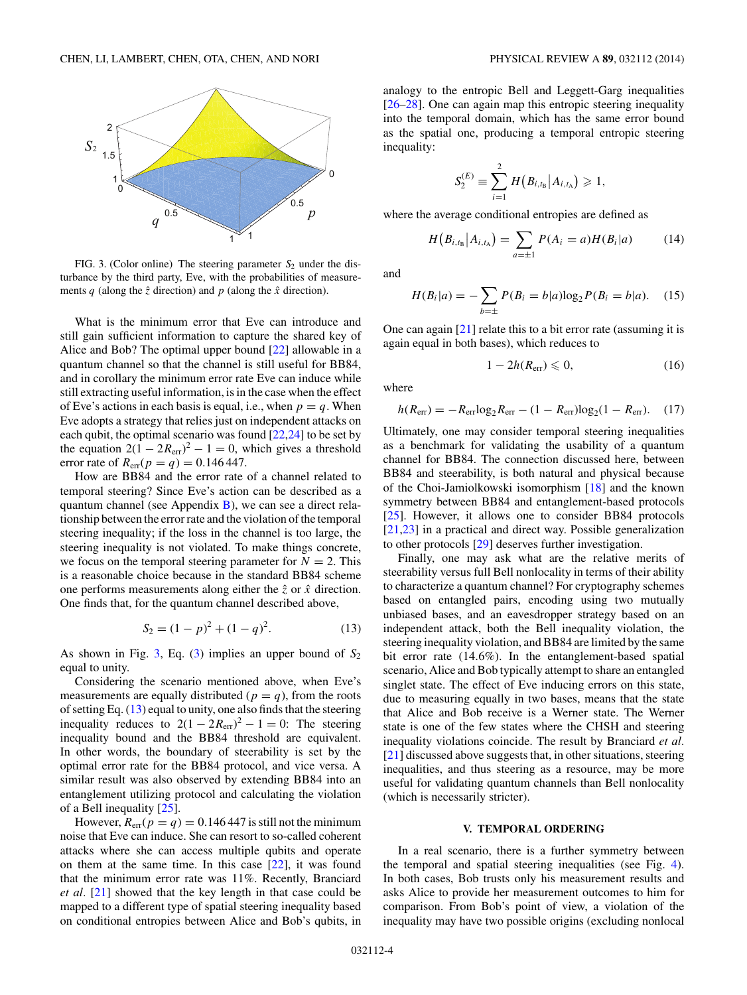<span id="page-3-0"></span>

FIG. 3. (Color online) The steering parameter  $S_2$  under the disturbance by the third party, Eve, with the probabilities of measurements  $q$  (along the  $\hat{z}$  direction) and  $p$  (along the  $\hat{x}$  direction).

What is the minimum error that Eve can introduce and still gain sufficient information to capture the shared key of Alice and Bob? The optimal upper bound [\[22\]](#page-6-0) allowable in a quantum channel so that the channel is still useful for BB84, and in corollary the minimum error rate Eve can induce while still extracting useful information, is in the case when the effect of Eve's actions in each basis is equal, i.e., when  $p = q$ . When Eve adopts a strategy that relies just on independent attacks on each qubit, the optimal scenario was found [\[22,24\]](#page-6-0) to be set by the equation  $2(1 - 2R_{\text{err}})^2 - 1 = 0$ , which gives a threshold error rate of  $R_{\text{err}}(p = q) = 0.146447$ .

How are BB84 and the error rate of a channel related to temporal steering? Since Eve's action can be described as a quantum channel (see Appendix [B\)](#page-4-0), we can see a direct relationship between the error rate and the violation of the temporal steering inequality; if the loss in the channel is too large, the steering inequality is not violated. To make things concrete, we focus on the temporal steering parameter for  $N = 2$ . This is a reasonable choice because in the standard BB84 scheme one performs measurements along either the  $\hat{z}$  or  $\hat{x}$  direction. One finds that, for the quantum channel described above,

$$
S_2 = (1 - p)^2 + (1 - q)^2.
$$
 (13)

As shown in Fig. 3, Eq. [\(3\)](#page-1-0) implies an upper bound of *S*<sup>2</sup> equal to unity.

Considering the scenario mentioned above, when Eve's measurements are equally distributed ( $p = q$ ), from the roots of setting Eq.  $(13)$  equal to unity, one also finds that the steering inequality reduces to  $2(1 - 2R_{\text{err}})^2 - 1 = 0$ . The steering inequality bound and the BB84 threshold are equivalent. In other words, the boundary of steerability is set by the optimal error rate for the BB84 protocol, and vice versa. A similar result was also observed by extending BB84 into an entanglement utilizing protocol and calculating the violation of a Bell inequality [\[25\]](#page-6-0).

However,  $R_{\text{err}}(p = q) = 0.146447$  is still not the minimum noise that Eve can induce. She can resort to so-called coherent attacks where she can access multiple qubits and operate on them at the same time. In this case [\[22\]](#page-6-0), it was found that the minimum error rate was 11%. Recently, Branciard *et al.* [\[21\]](#page-6-0) showed that the key length in that case could be mapped to a different type of spatial steering inequality based on conditional entropies between Alice and Bob's qubits, in analogy to the entropic Bell and Leggett-Garg inequalities [\[26–28\]](#page-6-0). One can again map this entropic steering inequality into the temporal domain, which has the same error bound as the spatial one, producing a temporal entropic steering inequality:

$$
S_2^{(E)} \equiv \sum_{i=1}^2 H(B_{i,t_{\rm B}}|A_{i,t_{\rm A}}) \geq 1,
$$

where the average conditional entropies are defined as

$$
H(B_{i,t_{\rm B}}|A_{i,t_{\rm A}}) = \sum_{a=\pm 1} P(A_i = a)H(B_i|a) \tag{14}
$$

and

$$
H(B_i|a) = -\sum_{b=\pm} P(B_i = b|a) \log_2 P(B_i = b|a). \quad (15)
$$

One can again [\[21\]](#page-6-0) relate this to a bit error rate (assuming it is again equal in both bases), which reduces to

$$
1 - 2h(R_{\rm err}) \leqslant 0,\tag{16}
$$

where

$$
h(R_{\text{err}}) = -R_{\text{err}} \log_2 R_{\text{err}} - (1 - R_{\text{err}}) \log_2 (1 - R_{\text{err}}). \quad (17)
$$

Ultimately, one may consider temporal steering inequalities as a benchmark for validating the usability of a quantum channel for BB84. The connection discussed here, between BB84 and steerability, is both natural and physical because of the Choi-Jamiolkowski isomorphism [\[18\]](#page-6-0) and the known symmetry between BB84 and entanglement-based protocols [\[25\]](#page-6-0). However, it allows one to consider BB84 protocols [\[21,23\]](#page-6-0) in a practical and direct way. Possible generalization to other protocols [\[29\]](#page-6-0) deserves further investigation.

Finally, one may ask what are the relative merits of steerability versus full Bell nonlocality in terms of their ability to characterize a quantum channel? For cryptography schemes based on entangled pairs, encoding using two mutually unbiased bases, and an eavesdropper strategy based on an independent attack, both the Bell inequality violation, the steering inequality violation, and BB84 are limited by the same bit error rate (14*.*6%). In the entanglement-based spatial scenario, Alice and Bob typically attempt to share an entangled singlet state. The effect of Eve inducing errors on this state, due to measuring equally in two bases, means that the state that Alice and Bob receive is a Werner state. The Werner state is one of the few states where the CHSH and steering inequality violations coincide. The result by Branciard *et al.* [\[21\]](#page-6-0) discussed above suggests that, in other situations, steering inequalities, and thus steering as a resource, may be more useful for validating quantum channels than Bell nonlocality (which is necessarily stricter).

#### **V. TEMPORAL ORDERING**

In a real scenario, there is a further symmetry between the temporal and spatial steering inequalities (see Fig. [4\)](#page-4-0). In both cases, Bob trusts only his measurement results and asks Alice to provide her measurement outcomes to him for comparison. From Bob's point of view, a violation of the inequality may have two possible origins (excluding nonlocal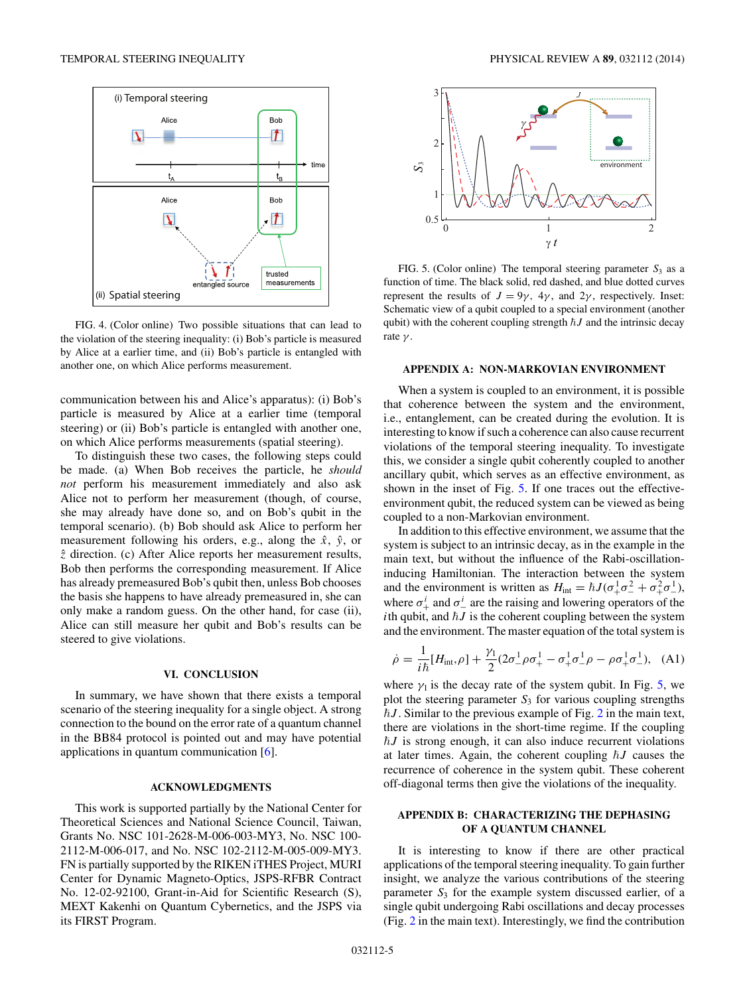<span id="page-4-0"></span>

FIG. 4. (Color online) Two possible situations that can lead to the violation of the steering inequality: (i) Bob's particle is measured by Alice at a earlier time, and (ii) Bob's particle is entangled with another one, on which Alice performs measurement.

communication between his and Alice's apparatus): (i) Bob's particle is measured by Alice at a earlier time (temporal steering) or (ii) Bob's particle is entangled with another one, on which Alice performs measurements (spatial steering).

To distinguish these two cases, the following steps could be made. (a) When Bob receives the particle, he *should not* perform his measurement immediately and also ask Alice not to perform her measurement (though, of course, she may already have done so, and on Bob's qubit in the temporal scenario). (b) Bob should ask Alice to perform her measurement following his orders, e.g., along the  $\hat{x}$ ,  $\hat{y}$ , or *z*ˆ direction. (c) After Alice reports her measurement results, Bob then performs the corresponding measurement. If Alice has already premeasured Bob's qubit then, unless Bob chooses the basis she happens to have already premeasured in, she can only make a random guess. On the other hand, for case (ii), Alice can still measure her qubit and Bob's results can be steered to give violations.

#### **VI. CONCLUSION**

In summary, we have shown that there exists a temporal scenario of the steering inequality for a single object. A strong connection to the bound on the error rate of a quantum channel in the BB84 protocol is pointed out and may have potential applications in quantum communication [\[6\]](#page-6-0).

## **ACKNOWLEDGMENTS**

This work is supported partially by the National Center for Theoretical Sciences and National Science Council, Taiwan, Grants No. NSC 101-2628-M-006-003-MY3, No. NSC 100- 2112-M-006-017, and No. NSC 102-2112-M-005-009-MY3. FN is partially supported by the RIKEN iTHES Project, MURI Center for Dynamic Magneto-Optics, JSPS-RFBR Contract No. 12-02-92100, Grant-in-Aid for Scientific Research (S), MEXT Kakenhi on Quantum Cybernetics, and the JSPS via its FIRST Program.



FIG. 5. (Color online) The temporal steering parameter  $S_3$  as a function of time. The black solid, red dashed, and blue dotted curves represent the results of  $J = 9\gamma$ ,  $4\gamma$ , and  $2\gamma$ , respectively. Inset: Schematic view of a qubit coupled to a special environment (another qubit) with the coherent coupling strength  $\hbar J$  and the intrinsic decay rate *γ* .

#### **APPENDIX A: NON-MARKOVIAN ENVIRONMENT**

When a system is coupled to an environment, it is possible that coherence between the system and the environment, i.e., entanglement, can be created during the evolution. It is interesting to know if such a coherence can also cause recurrent violations of the temporal steering inequality. To investigate this, we consider a single qubit coherently coupled to another ancillary qubit, which serves as an effective environment, as shown in the inset of Fig. 5. If one traces out the effectiveenvironment qubit, the reduced system can be viewed as being coupled to a non-Markovian environment.

In addition to this effective environment, we assume that the system is subject to an intrinsic decay, as in the example in the main text, but without the influence of the Rabi-oscillationinducing Hamiltonian. The interaction between the system and the environment is written as  $H_{\text{int}} = \hbar J (\sigma_+^1 \sigma_-^2 + \sigma_+^2 \sigma_-^1)$ , where  $\sigma^i_+$  and  $\sigma^i_-$  are the raising and lowering operators of the *i*th qubit, and  $\hbar J$  is the coherent coupling between the system and the environment. The master equation of the total system is

$$
\dot{\rho} = \frac{1}{i\hbar} [H_{\rm int}, \rho] + \frac{\gamma_1}{2} (2\sigma_-^1 \rho \sigma_+^1 - \sigma_+^1 \sigma_-^1 \rho - \rho \sigma_+^1 \sigma_-^1), \quad (A1)
$$

where  $\gamma_1$  is the decay rate of the system qubit. In Fig. 5, we plot the steering parameter  $S_3$  for various coupling strengths  $\hbar J$ . Similar to the previous example of Fig. [2](#page-2-0) in the main text, there are violations in the short-time regime. If the coupling  $\hbar J$  is strong enough, it can also induce recurrent violations at later times. Again, the coherent coupling  $\hbar J$  causes the recurrence of coherence in the system qubit. These coherent off-diagonal terms then give the violations of the inequality.

# **APPENDIX B: CHARACTERIZING THE DEPHASING OF A QUANTUM CHANNEL**

It is interesting to know if there are other practical applications of the temporal steering inequality. To gain further insight, we analyze the various contributions of the steering parameter  $S_3$  for the example system discussed earlier, of a single qubit undergoing Rabi oscillations and decay processes (Fig. [2](#page-2-0) in the main text). Interestingly, we find the contribution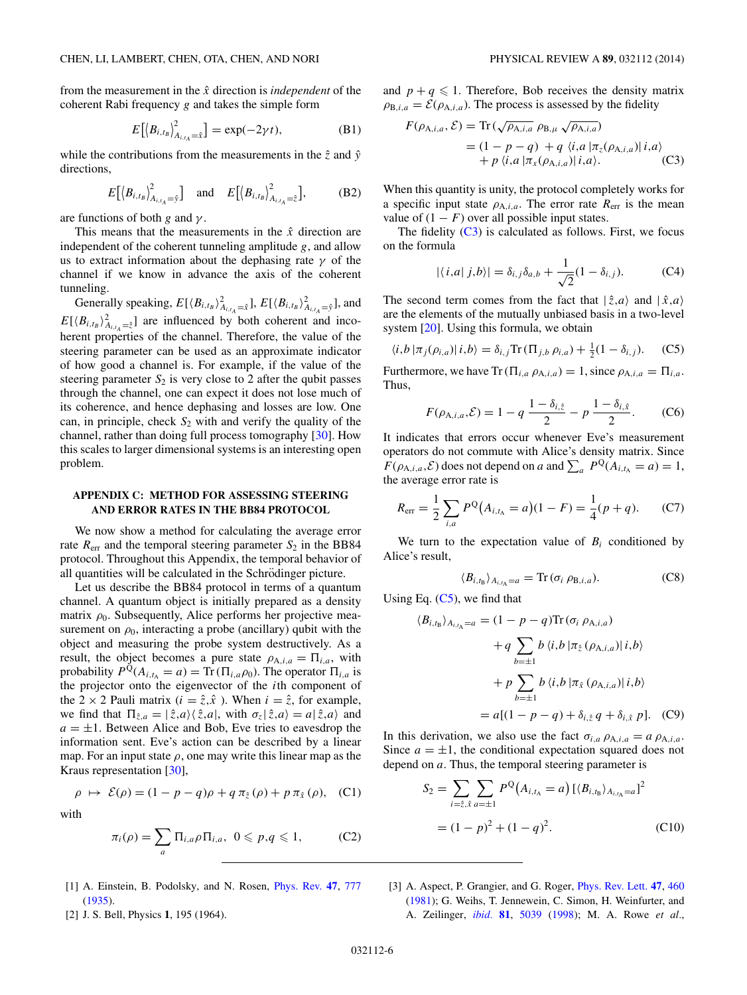<span id="page-5-0"></span>from the measurement in the *x*ˆ direction is *independent* of the coherent Rabi frequency *g* and takes the simple form

$$
E[(B_{i,t_B})^2_{A_{i,t_A}=\hat{x}}] = \exp(-2\gamma t),
$$
 (B1)

while the contributions from the measurements in the  $\hat{z}$  and  $\hat{y}$ directions,

$$
E\left[\left\langle B_{i,t_B}\right\rangle^2_{A_{i,t_A}=\hat{y}}\right] \quad \text{and} \quad E\left[\left\langle B_{i,t_B}\right\rangle^2_{A_{i,t_A}=\hat{z}}\right],\tag{B2}
$$

are functions of both *g* and *γ* .

This means that the measurements in the  $\hat{x}$  direction are independent of the coherent tunneling amplitude *g*, and allow us to extract information about the dephasing rate *γ* of the channel if we know in advance the axis of the coherent tunneling.

Generally speaking,  $E[\langle B_{i,t_B} \rangle^2_{A_{i,t_A}=\hat{x}}], E[\langle B_{i,t_B} \rangle^2_{A_{i,t_A}=\hat{y}}],$  and  $E[\langle B_{i,t_B} \rangle_{A_{i,t_A}=\hat{z}}^2]$  are influenced by both coherent and incoherent properties of the channel. Therefore, the value of the steering parameter can be used as an approximate indicator of how good a channel is. For example, if the value of the steering parameter  $S_2$  is very close to 2 after the qubit passes through the channel, one can expect it does not lose much of its coherence, and hence dephasing and losses are low. One can, in principle, check  $S_2$  with and verify the quality of the channel, rather than doing full process tomography [\[30\]](#page-6-0). How this scales to larger dimensional systems is an interesting open problem.

## **APPENDIX C: METHOD FOR ASSESSING STEERING AND ERROR RATES IN THE BB84 PROTOCOL**

We now show a method for calculating the average error rate  $R_{\text{err}}$  and the temporal steering parameter  $S_2$  in the BB84 protocol. Throughout this Appendix, the temporal behavior of all quantities will be calculated in the Schrödinger picture.

Let us describe the BB84 protocol in terms of a quantum channel. A quantum object is initially prepared as a density matrix  $\rho_0$ . Subsequently, Alice performs her projective measurement on  $\rho_0$ , interacting a probe (ancillary) qubit with the object and measuring the probe system destructively. As a result, the object becomes a pure state  $\rho_{A,i,a} = \Pi_{i,a}$ , with probability  $P^{\mathbb{Q}}(A_{i,t_{\mathbb{A}}}=a) = \text{Tr}(\Pi_{i,a}\rho_0)$ . The operator  $\Pi_{i,a}$  is the projector onto the eigenvector of the *i*th component of the 2  $\times$  2 Pauli matrix ( $i = \hat{z}, \hat{x}$ ). When  $i = \hat{z}$ , for example, we find that  $\Pi_{\hat{z},a} = |\hat{z},a\rangle \langle \hat{z},a|$ , with  $\sigma_z |\hat{z},a\rangle = a |\hat{z},a\rangle$  and  $a = \pm 1$ . Between Alice and Bob, Eve tries to eavesdrop the information sent. Eve's action can be described by a linear map. For an input state  $\rho$ , one may write this linear map as the Kraus representation [\[30\]](#page-6-0),

$$
\rho \mapsto \mathcal{E}(\rho) = (1 - p - q)\rho + q \pi_{\hat{z}}(\rho) + p \pi_{\hat{x}}(\rho), \quad (C1)
$$

with

$$
\pi_i(\rho) = \sum_a \Pi_{i,a} \rho \Pi_{i,a}, \ \ 0 \leqslant p,q \leqslant 1, \tag{C2}
$$

- [1] A. Einstein, B. Podolsky, and N. Rosen, [Phys. Rev.](http://dx.doi.org/10.1103/PhysRev.47.777) **[47](http://dx.doi.org/10.1103/PhysRev.47.777)**, [777](http://dx.doi.org/10.1103/PhysRev.47.777) [\(1935\)](http://dx.doi.org/10.1103/PhysRev.47.777).
- [2] J. S. Bell, Physics **1**, 195 (1964).

and  $p + q \leq 1$ . Therefore, Bob receives the density matrix  $\rho_{B,i,a} = \mathcal{E}(\rho_{A,i,a})$ . The process is assessed by the fidelity

$$
F(\rho_{A,i,a}, \mathcal{E}) = \text{Tr}\left(\sqrt{\rho_{A,i,a}} \rho_{B,\mu} \sqrt{\rho_{A,i,a}}\right)
$$
  
=  $(1 - p - q) + q \langle i, a | \pi_z(\rho_{A,i,a}) | i, a \rangle$   
+  $p \langle i, a | \pi_x(\rho_{A,i,a}) | i, a \rangle$ . (C3)

When this quantity is unity, the protocol completely works for a specific input state  $\rho_{A,i,a}$ . The error rate  $R_{\text{err}}$  is the mean value of  $(1 - F)$  over all possible input states.

The fidelity  $(C3)$  is calculated as follows. First, we focus on the formula

$$
|\langle i, a | j, b \rangle| = \delta_{i,j} \delta_{a,b} + \frac{1}{\sqrt{2}} (1 - \delta_{i,j}).
$$
 (C4)

The second term comes from the fact that  $|\hat{z}, a\rangle$  and  $|\hat{x}, a\rangle$ are the elements of the mutually unbiased basis in a two-level system [\[20\]](#page-6-0). Using this formula, we obtain

$$
\langle i, b | \pi_j(\rho_{i,a}) | i, b \rangle = \delta_{i,j} \text{Tr} \left( \Pi_{j,b} \rho_{i,a} \right) + \frac{1}{2} (1 - \delta_{i,j}). \tag{C5}
$$

Furthermore, we have  $\text{Tr}(\Pi_{i,a} \rho_{A,i,a}) = 1$ , since  $\rho_{A,i,a} = \Pi_{i,a}$ . Thus,

$$
F(\rho_{A,i,a}, \mathcal{E}) = 1 - q \frac{1 - \delta_{i,\hat{z}}}{2} - p \frac{1 - \delta_{i,\hat{x}}}{2}.
$$
 (C6)

It indicates that errors occur whenever Eve's measurement operators do not commute with Alice's density matrix. Since  $F(\rho_{A,i,a}, \mathcal{E})$  does not depend on *a* and  $\sum_{a} P^{Q}(A_{i,t_{A}} = a) = 1$ , the average error rate is

$$
R_{\text{err}} = \frac{1}{2} \sum_{i,a} P^{\text{Q}}(A_{i,t_{\text{A}}} = a)(1 - F) = \frac{1}{4}(p + q). \tag{C7}
$$

We turn to the expectation value of  $B_i$  conditioned by Alice's result,

$$
\langle B_{i,t_{\rm B}} \rangle_{A_{i,t_{\rm A}}=a} = \text{Tr} \, (\sigma_i \, \rho_{\text{B},i,a}). \tag{C8}
$$

Using Eq.  $(C5)$ , we find that

$$
\langle B_{i,t_{\rm B}} \rangle_{A_{i,t_{\rm A}}=a} = (1 - p - q) \text{Tr} \left( \sigma_i \rho_{\text{A},i,a} \right)
$$

$$
+ q \sum_{b=\pm 1} b \langle i,b | \pi_{\hat{z}} \left( \rho_{\text{A},i,a} \right) | i,b \rangle
$$

$$
+ p \sum_{b=\pm 1} b \langle i,b | \pi_{\hat{x}} \left( \rho_{\text{A},i,a} \right) | i,b \rangle
$$

$$
= a[(1 - p - q) + \delta_{i,\hat{z}} q + \delta_{i,\hat{x}} p]. \quad (C9)
$$

In this derivation, we also use the fact  $\sigma_{i,a}$   $\rho_{A,i,a} = a \rho_{A,i,a}$ . Since  $a = \pm 1$ , the conditional expectation squared does not depend on *a*. Thus, the temporal steering parameter is

$$
S_2 = \sum_{i=\hat{z},\hat{x}} \sum_{a=\pm 1} P^{\mathbb{Q}}(A_{i,t_{\mathbb{A}}}=a) \left[ \langle B_{i,t_{\mathbb{B}}}\rangle_{A_{i,t_{\mathbb{A}}}=a} \right]^2
$$
  
=  $(1-p)^2 + (1-q)^2$ . (C10)

[3] A. Aspect, P. Grangier, and G. Roger, [Phys. Rev. Lett.](http://dx.doi.org/10.1103/PhysRevLett.47.460) **[47](http://dx.doi.org/10.1103/PhysRevLett.47.460)**, [460](http://dx.doi.org/10.1103/PhysRevLett.47.460) [\(1981\)](http://dx.doi.org/10.1103/PhysRevLett.47.460); G. Weihs, T. Jennewein, C. Simon, H. Weinfurter, and A. Zeilinger, *[ibid.](http://dx.doi.org/10.1103/PhysRevLett.81.5039)* **[81](http://dx.doi.org/10.1103/PhysRevLett.81.5039)**, [5039](http://dx.doi.org/10.1103/PhysRevLett.81.5039) [\(1998\)](http://dx.doi.org/10.1103/PhysRevLett.81.5039); M. A. Rowe *et al.*,